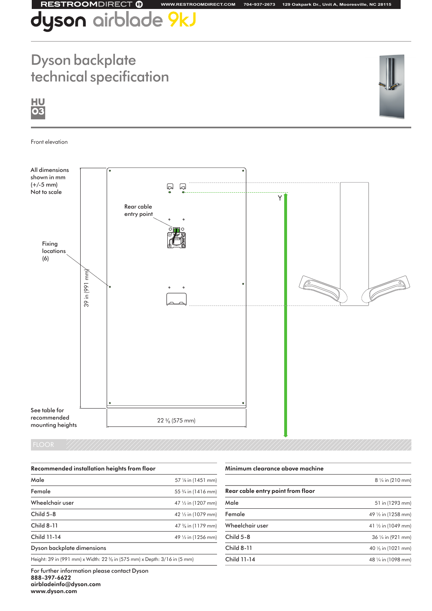### **RESTROOMDIRECT ®**

## l**yson** airblade 9kJ

### Dyson backplate technical specification



 $H<sub>U</sub>$ 03

### Front elevation



| Recommended installation heights from floor                              |                               |  |
|--------------------------------------------------------------------------|-------------------------------|--|
| Male                                                                     | 57 $\frac{1}{8}$ in (1451 mm) |  |
| Female                                                                   | 55 3/4 in (1416 mm)           |  |
| Wheelchair user                                                          | 47 1/2 in (1207 mm)           |  |
| Child 5-8                                                                | 42 1/2 in (1079 mm)           |  |
| <b>Child 8-11</b>                                                        | 47 % in (1179 mm)             |  |
| Child 11-14                                                              | 49 1/2 in (1256 mm)           |  |
| Dyson backplate dimensions                                               |                               |  |
| Height: 39 in (991 mm) x Width: 22 % in (575 mm) x Depth: 3/16 in (5 mm) |                               |  |

Minimum clearance above machine

**WWW.RESTROOMDIRECT.COM 704•937•2673 129 Oakpark Dr., Unit A, Mooresville, NC 28115**

|                                   | $8\frac{1}{4}$ in (210 mm)    |
|-----------------------------------|-------------------------------|
| Rear cable entry point from floor |                               |
| Male                              | 51 in (1293 mm)               |
| Female                            | 49 1/2 in (1258 mm)           |
| Wheelchair user                   | 41 $\frac{1}{2}$ in (1049 mm) |
| Child $5-8$                       | $36\frac{1}{4}$ in (921 mm)   |
| <b>Child 8-11</b>                 | 40 $\frac{1}{5}$ in (1021 mm) |
| Child 11-14                       | 48 1/4 in (1098 mm)           |
|                                   |                               |

For further information please contact Dyson 888-397-6622 airbladeinfo@dyson.com www.dyson.com